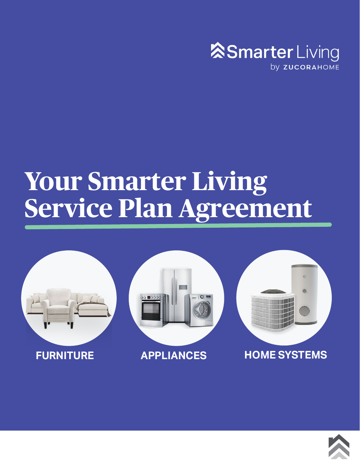

# **Your Smarter Living Service Plan Agreement**



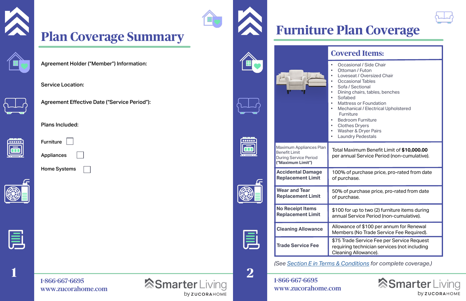## 1-866-667-6695 [www.zucorahome.com](http://www.zucorahome.com)





# **Plan Coverage Summary**







000000  $\overline{\mathbf{G}}$ 

E

## **Covered Items:**

• Occasional / Side Chair

- Ottoman / Futon
- Loveseat / Oversized Chair
- Occasional Tables
- Sofa / Sectional
- Dining chairs, tables, benches
	-
- **Mattress or Foundation**
- Mechanical / Electrical Upholstered
- Furniture
- Bedroom Furniture
- Clothes Dryers
- Washer & Dryer Pairs
- Laundry Pedestals

Total Maximum Benefit Limit of **\$10,000.00**  per annual Service Period (non-cumulative).

**Cleaning Allowance** Allowance of \$100 per annum for Renewal<br>Members (No Trade Service Fee Pequired) Members (No Trade Service Fee Required).

100% of purchase price, pro-rated from date



*(See [Section E in Terms & Conditions](#page-5-0) for complete coverage.)*

# **Furniture Plan Coverage**

50% of purchase price, pro-rated from date

**Replacement Limit** \$100 for up to two (2) furniture items during annual Service Period (non-cumulative).

\$75 Trade Service Fee per Service Request requiring technician services (not including Cleaning Allowance).

## **Smarter** Living by ZUCORAHOME

1-866-667-6695 [www.zucorahome.com](http://www.zucorahome.com)





Service Location:



Agreement Effective Date ("Service Period"):



Plans Included:

| <b>Furniture</b> |  |
|------------------|--|
|                  |  |

Appliances





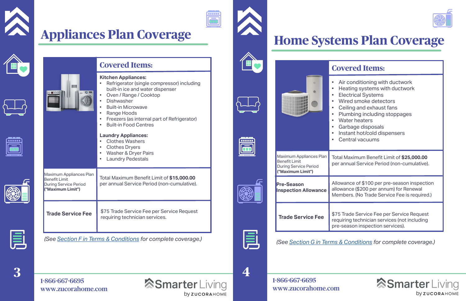**4**

# **Home Systems Plan Coverage**

## **Covered Items:**

- Air conditioning with ductwork • Heating systems with ductwork • Electrical Systems • Wired smoke detectors • Ceiling and exhaust fans • Plumbing including stoppages Water heaters • Garbage disposals • Instant hot/cold dispensers
	- Central vacuums



Total Maximum Benefit Limit of **\$25,000.00** per annual Service Period (non-cumulative).

*(See [Section G in Terms & Conditions](#page-6-0) for complete coverage.)*

## **Smarter** Living **by ZUCORAHOME**

Allowance of \$100 per pre-season inspection allowance (\$200 per annum) for Renewal Members. (No Trade Service Fee is required.)

\$75 Trade Service Fee per Service Request requiring technician services (not including pre-season inspection services).

**3**













**Covered Items: Kitchen Appliances:**  • Refrigerator (single compressor) including built-in ice and water dispenser • Oven / Range / Cooktop **Dishwasher** • Built-in Microwave Range Hoods • Freezers (as internal part of Refrigerator) • Built-in Food Centres **Laundry Appliances:**  • Clothes Washers • Clothes Dryers • Washer & Dryer Pairs **Laundry Pedestals** Maximum Appliances Plan Benefit Limit During Service Period **("Maximum Limit")** Total Maximum Benefit Limit of **\$15,000.00** per annual Service Period (non-cumulative). **Trade Service Fee | \$75 Trade Service Fee per Service Request** requiring technician services. *(See [Section F in Terms & Conditions](#page-6-0) for complete coverage.)*



1-866-667-6695 [www.zucorahome.com](http://www.zucorahome.com) **SmarterLiving by ZUCORAHOME** 

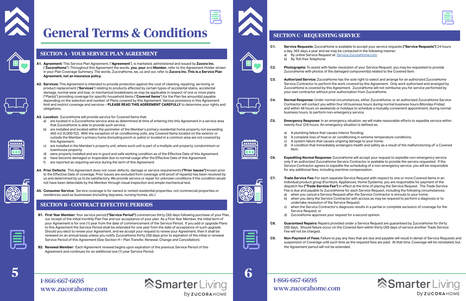<span id="page-3-0"></span>

# **General Terms & Conditions**



- **A1. Agreement:** This Service Plan Agreement, ("**Agreement**"), is marketed, administered and issued by **Zucora Inc.** ("**ZucoraHome**"). Throughout this Agreement the words, **you, your** and **Member**, refer to the Agreement Holder shown in your Plan Coverage Summary. The words, ZucoraHome, we, us and our, refer to **Zucora Inc. This is a Service Plan Agreement, not an insurance policy.**
- **A2. Services:** This Agreement is intended to provide protection against the cost of cleaning, repairing, servicing or product replacement ("**Services**") relating to products affected by certain types of accidental stains, accidental damage, normal wear and tear, or mechanical breakdowns as may be applicable in respect of one or more plans ("Plan(s)") providing coverage for specific household items ("**Covered Items**") for the Plan fee amount(s) payable depending on the selection and number of Plans covered by this Agreement. Various provisions in this Agreement limit and restrict coverage and services – **PLEASE READ THIS AGREEMENT CAREFULLY** to determine your rights and obligations.

**A3. Location:** ZucoraHome will provide service for Covered Items that:

- a) are located in a ZucoraHome service area as determined at time of entering into this Agreement in a service area that ZucoraHome is able to provide such service.
- b) are installed and located within the perimeter of the Member's primary residential home property not exceeding 465 m2 (5,000 ft2). With the exception of air conditioning units, any Covered Items located on the exterior or outside the Member's primary home (including porch or patio) or located in a common area are not covered by this Agreement.
- c) are installed in the Member's property unit, where such unit is part of a multiple unit property, condominium or townhouse property.
- d) were properly installed and are in good and safe working condition as of the Effective Date of this Agreement.<br>e) have become damaged or inoperable due to normal usage after the Effective Date of this Agreement.
- e) have become damaged or inoperable due to normal usage after the Effective Date of this Agreement.<br>
f) are reported as requiring service during the term of this Agreement.
- are reported as requiring service during the term of this Agreement.
- **A4. Prior Defects:** This Agreement does not cover defects, damage or service requirements **("Prior Issues")** known prior to the Effective Date of coverage. Prior Issues are excluded from coverage until proof of repair(s) has been received by us and determined by us to be satisfactory. We provide service or repair for unknown conditions if the condition would not have been detectable by the Member through visual inspection and simple mechanical test.
- **A5. Consumer Service:** Service coverage is for owned or rented residential properties, not commercial properties or residences used as businesses (including daycares, nursing homes, etc.)

**C7. Trade Service Fee:** For each separate Service Request with respect to one or more Covered Items in an individual product group (Furniture, Appliances, Home Systems), you are responsible for payment of the dispatch fee **("Trade Service Fee")** in effect at the time of placing the Service Request. The Trade Service Fee is due and payable to ZucoraHome for each Service Request, including the following circumstances: a) when you cancel a Service Request after the Service Contractor is enroute to your home;<br>b) when you deny the Service Contractor with access as may be required to perform a diagn

when you deny the Service Contractor with access as may be required to perform a diagnosis or to

- **B1. First Year Member:** Your service period **("Service Period")** commences thirty (30) days following purchase of your Plan, our receipt of the initial monthly Plan Fee and our acceptance of your plan. As a First Year Member, the initial term of your Agreement is for one (1) year from the date of commencement of the Service Period. If you add or upgrade Plans to this Agreement the Service Period shall be extended for one year from the date of acceptance of such upgrade. Should you elect to renew your Agreement, and we accept your request to renew your Agreement, then it shall be renewed on an annual basis unless you notify ZucoraHome thirty (30) days prior to expiration of the initial or renewal Service Period of this Agreement (See Section H – Plan Transfer, Renewal, Change and Cancellation).
- **B2. Renewal Member:** Each Agreement renewal begins upon expiration of the previous Service Period of this Agreement and continues for an additional one (1) year Service Period.

### **SECTION A - YOUR SERVICE PLAN AGREEMENT**

### **SECTION B - CONTRACT EFFECTIVE PERIODS**

## **5 6** 1-866-667-6695 [www.zucorahome.com](http://www.zucorahome.com)





**C1. Service Requests:** ZucoraHome is available to accept your service requests **("Service Requests")** 24 hours

**C2. Photographs:** To assist with faster resolution of your Service Request, you may be requested to provide ZucoraHome with photos of the damaged component(s) related to the Covered Item.

**C3. Authorized Service:** ZucoraHome has the sole right to select and arrange for an authorized ZucoraHome Service Contractor to perform the work covered by this Agreement. Only work authorized and arranged by ZucoraHome is covered by this Agreement. ZucoraHome will not reimburse you for service performed by

**C4. Normal Response:** Under normal circumstances, either ZucoraHome, or an authorized ZucoraHome Service Contractor will contact you within four (4) business hours during normal business hours (Monday-Friday) and within 48 hours on weekends or holidays to schedule a mutually convenient appointment, during normal

**C5. Emergency Response:** In an emergency situation, we will make reasonable efforts to expedite service within

- 
- A condition that immediately endangers health and safety as a result of the malfunctioning oF a Covered
- **SECTION C REQUESTING SERVICE**
	- a day, 365 days a year and we may be contacted in the following manner: a) By online Service Request at: [Service.ZucoraHome.com](https://service.zucorahome.com/) b) By Toll-free Telephone
	-
- your own contractor without prior authorization from ZucoraHome.
- business hours, to perform non-emergency service.
- twenty-four (24) hours. An emergency situation is defined as:
	- a) A plumbing failure that causes interior flooding;
- 
- b) A complete loss of heat or air conditioning in extreme temperature conditions;<br>c) A system failure that causes ongoing damage to your home: c) A system failure that causes ongoing damage to your home;<br>d) A condition that immediately endangers health and safety as
- Item.
- for any additional fees, including overtime compensation.
- 
- undertake resolution of the Service Request;
- Service Request; or
- d) ZucoraHome approves your request for a second opinion.
- Fee will not be charged.
- the Agreement period will not be extended.
- 1-866-667-6695 [www.zucorahome.com](http://www.zucorahome.com)







**by ZUCORAHOME** 







**C6. Expediting Normal Response:** ZucoraHome will accept your request to expedite non-emergency service only if an authorized ZucoraHome Service Contractor is available to provide the service requested. If the Service Contractor agrees to expedite the scheduling of a non-emergency service, you will be responsible

c) when the Service Contractor's diagnosis results in a partial or complete exclusion of coverage for the

**C8. Guaranteed Repairs:** Repairs provided under a Service Request are guaranteed by ZucoraHome for thirty (30) days. Should failure occur on the Covered Item within thirty (30) days of service another Trade Service

**C9. Non-Payment of Fees:** Failure to pay any fees that are due and payable will result in denial of Service Requests and suspension of Coverage until such time as the required fees are paid. At that time, Coverage will be reinstated, but

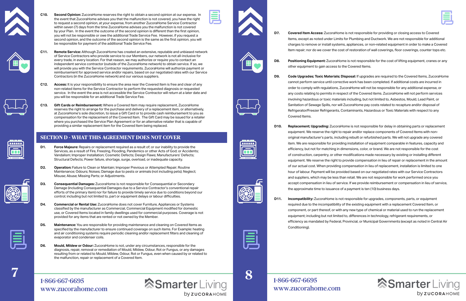## **SECTION D - WHAT THIS AGREEMENT DOES NOT COVER**



- 
- 
- 

**C10. Second Opinion:** ZucoraHome reserves the right to obtain a second opinion at our expense. In the event that ZucoraHome advises you that the malfunction is not covered, you have the right to request a second opinion, at your expense, from another ZucoraHome Service Contractor within seven (7) days from the time ZucoraHome advises you the malfunction is not covered by your Plan. In the event the outcome of the second opinion is different than the first opinion, you will not be responsible or owe the additional Trade Service Fee. However, if you request a second opinion, and the outcome of the second opinion is the same as the first opinion, you will be responsible for payment of the additional Trade Service Fee.



- **C12. Access:** It is your responsibility to ensure the area near the Covered Item is free and clear of any non-related items for the Service Contractor to perform the requested diagnosis or requested service. In the event the area is not accessible the Service Contractor will return at a later date and you will be responsible for an additional Trade Service Fee.
- **C13. Gift Cards or Reimbursement:** Where a Covered Item may require replacement, ZucoraHome reserves the right to arrange for the purchase and delivery of a replacement item, or alternatively, at ZucoraHome's sole discretion, to issue a Gift Card or to provide cash reimbursement to you as compensation for the replacement of the Covered Item. The Gift Card may be issued for a retailer where you purchased the Service Plan Agreement or for an alternative retailer that is capable of providing a similar replacement item for the Covered Item being replaced.

- **D1. Force Majeure:** Repairs or replacement required as a result of; or our inability to provide the Services, as a result of Fire, Freezing, Flooding, Pandemics or other Acts of God; or Accidents; Vandalism; Improper Installation; Cosmetic Defects; Design Flaws; Manufacturers' Defects; Structural Defects; Power failure, shortage, surge, overload, or inadequate capacity.
- **D2. Operation:** Failure to Clean or Maintain; Improper Previous or Attempted Repair; Routine Maintenance; Odours; Noises; Damage due to pests or animals (not including pets); Neglect; Misuse; Abuse; Missing Parts; or Adjustments.
- **D3. Consequential Damages:** ZucoraHome is not responsible for Consequential or Secondary Damage (including Consequential Damages due to a Service Contractor's conventional repair efforts of the primary item) nor for failure to provide timely service due to conditions beyond our control; including but not limited to, part or equipment delays or labour difficulties.
- **D4. Commercial or Rental Use:** ZucoraHome does not cover Furniture, Appliances or Systems classified by the manufacturer as Commercial, Commercial Equipment modified for domestic use, or Covered Items located in family dwellings used for commercial purposes. Coverage is not provided for any items that are rented or not owned by the Member.
- **D5. Maintenance:** You are responsible for providing maintenance and cleaning on Covered Items as specified by the manufacturer to ensure continued coverage on such items. For Example: heating and air conditioning systems require periodic cleaning and/or replacement filters and cleaning of evaporator and condenser coils.
- **D6. Mould, Mildew or Odour:** ZucoraHome is not, under any circumstances, responsible for the diagnosis, repair, removal or remediation of Mould, Mildew, Odour, Rot or Fungus, or any damages resulting from or related to Mould, Mildew, Odour, Rot or Fungus, even when caused by or related to the malfunction, repair or replacement of a Covered Item.











**D10. Replacement; Upgrading:** ZucoraHome is not responsible for delay in obtaining parts or replacement equipment. We reserve the right to repair and/or replace components of Covered Items with nonoriginal manufacturer's parts, including rebuilt or refurbished parts. We will not upgrade any covered item. We are responsible for providing installation of equipment comparable in features, capacity and efficiency, but not for matching in dimensions, color, or brand. We are not responsible for the cost of construction, carpentry, or other modifications made necessary by existing or installing different equipment. We reserve the right to provide compensation in lieu of repair or replacement in the amount of our actual cost. When providing compensation in lieu of replacement, installation is limited to one hour of labour. Payment will be provided based on our negotiated rates with our Service Contractors and suppliers, which may be less than retail. We are not responsible for work performed once you accept compensation in lieu of service. If we provide reimbursement or compensation in lieu of service, the approximate time to issuance of a payment is ten (10) business days.

 $\frac{1.86666676695}{1.8666676695}$ 1-866-667-6695

**D7. Covered Item Access:** ZucoraHome is not responsible for providing or closing access to Covered Items, except as noted under Limits for Plumbing and Ductwork. We are not responsible for additional charges to remove or install systems, appliances, or non-related equipment in order to make a Covered Item repair; nor do we cover the cost of restoration of wall coverings, floor coverings, counter tops etc.

**D8. Positioning Equipment:** ZucoraHome is not responsible for the cost of lifting equipment, cranes or any other equipment to gain access to the Covered Items.

**D9. Code Upgrades; Toxic Materials; Disposal:** If upgrades are required to the Covered Items, ZucoraHome cannot perform service until corrective work has been completed. If additional costs are incurred in order to comply with regulations, ZucoraHome will not be responsible for any additional expense, or any costs relating to permits in respect of the Covered items. ZucoraHome will not perform services involving hazardous or toxic materials including, but not limited to, Asbestos, Mould, Lead Paint, or Sanitation of Sewage Spills, nor will ZucoraHome pay costs related to recapture and/or disposal of Refrigerator/Freezer Refrigerants, Contaminants, Hazardous or Toxic Materials with respect to any

Covered Items.

**D11. Incompatibility:** ZucoraHome is not responsible for upgrades, components, parts, or equipment required due to the incompatibility of the existing equipment with a replacement Covered Item, or component, or part thereof, or with any new type of chemical or material used to run the replacement equipment; including but not limited to, differences in technology, refrigerant requirements, or efficiency as mandated by Federal, Provincial, or Municipal Governments (except as noted in Central Air

## **SmarterLiving by ZUCORAHOME**

Conditioning).

[www.zucorahome.com](http://www.zucorahome.com)

**by ZUCORAHOME** 



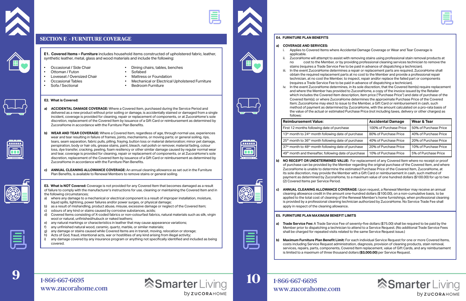





Applies to Covered Items where Accidental Damage Coverage or Wear and Tear Coverage is

<span id="page-5-0"></span>



### **SECTION E - FURNITURE COVERAGE**

**E1. Covered Items – Furniture** includes household items constructed of upholstered fabric, leather, synthetic leather, metal, glass and wood materials and include the following:

- 
- 
- Ottoman / Futon Sofabed Loveseat / Oversized Chair<br>Occasional Tables
- 
- 
- Occasional / Side Chair Dining chairs, tables, benches
	-
	-
- Occasional Tables Mechanical or Electrical Upholstered Furniture

**SmarterLiving** 

**by ZUCORAHOME** 

**Bedroom Furniture** 

- **E2. What is Covered:**
- **a) ACCIDENTAL DAMAGE COVERAGE:** Where a Covered Item, purchased during the Service Period and delivered as a new product without prior soiling or damage, is accidentally stained or damaged from a single incident, coverage is provided for cleaning, repair or replacement of components, or at ZucoraHome's sole discretion, replacement of the Covered Item by issuance of a Gift Card or reimbursement as determined by ZucoraHome in accordance with the Furniture Plan Benefits.
- **b) WEAR AND TEAR COVERAGE:** Where a Covered Item, regardless of age, through normal use, experiences wear and tear resulting in failure of frames, joints, mechanisms, or moving parts; or general soiling, rips, tears, seam separation, fabric pulls, pilling, fraying, button loss or material deterioration; minor pet damage, perspiration, body or hair oils, grease stains, paint, bleach, nail polish or remover, material fading, colour loss, dye transfer, cracking, peeling, foam resiliency or other similar damage caused by regular normal wear and tear, coverage is provided for cleaning, repair or replacement of components, or at ZucoraHome's sole discretion, replacement of the Covered Item by issuance of a Gift Card or reimbursement as determined by ZucoraHome in accordance with the Furniture Plan Benefits.
- **c) ANNUAL CLEANING ALLOWANCE COVERAGE:** An annual cleaning allowance as set out in the Furniture Plan Benefits, is available to Renewal Members to remove stains or general soiling.

**E3. What is NOT Covered:** Coverage is not provided for any Covered Item that becomes damaged as a result of failure to comply with the manufacturer's instructions for use, cleaning or maintaining the Covered Item and in the following circumstances;

- a) where any damage to a mechanical or electrical component is a result of improper installation, moisture, liquid spills, lightning, power failures and/or power surges, or physical damage;
- b) as a result of mishandling, product abuse, misuse, excessive damage or neglect of the Covered Item;<br>c) odours of any kind or stains caused by corrosive substances, acids;
- c) odours of any kind or stains caused by corrosive substances, acids;<br>d) Covered Items consisting of X-coded fabrics or non-colourfast fabric
- Covered Items consisting of X-coded fabrics or non-colourfast fabrics, natural materials such as silk, virgin wool or natural, unfinished/nubuck or naked leathers;
- e) any natural markings or characteristics in leather that may cause appearance variations;<br>f) any unfinished natural wood, ceramic, quartz, marble, or similar materials;
- any unfinished natural wood, ceramic, quartz, marble, or similar materials;
- g) any damage or stains caused while Covered Items are in transit, moving, relocation or storage;
- h) Acts of God, fraud, intentional acts, war or hostilities of any kind arising from illegal activity;
- i) any damage covered by any insurance program or anything not specifically identified and included as being covered.









1-866-667-6695 [www.zucorahome.com](http://www.zucorahome.com)

### **E4. FURNITURE PLAN BENEFITS**

## **a) COVERAGE AND SERVICES:**

ii. ZucoraHome will attempt to assist with removing stains using professional stain removal products at cost to the Member, or by providing professional cleaning services technician to remove the stains (requires a Trade Service Fee to be paid in advance of dispatching a technician).

iii. In the event ZucoraHome determines a repair or replacement parts are required, ZucoraHome shall obtain the required replacement parts at no cost to the Member and provide a professional repair technician, at no cost the Member, to inspect, repair and/or replace the failed part or components (requires a Trade Service Fee to be paid in advance of dispatching a technician).

- applicable.
- 
- 
- follows:

iv. In the event ZucoraHome determines, in its sole discretion, that the Covered Item(s) require replacement and where the Member has provided to ZucoraHome, a copy of the invoice issued by the Retailer which includes the Covered Item description, item price ("Purchase Price") and date of purchase of the Covered Item(s); or where ZucoraHome determines the approximate Purchase Price of the Covered Item; ZucoraHome may elect to issue to the Member, a Gift Card or reimbursement in cash, such method of payment as determined by ZucoraHome, with the amount calculated on a pro-rata basis of the value of the actual or estimated Purchase Price (not including taxes, delivery or other charges) as

**b) NO RECEIPT OR UNDETERMINED VALUE:** For replacement of any Covered Item where no receipt or proof of purchase can be provided by the Member regarding the original purchase of the Covered Item, and where ZucoraHome is unable to determine the estimated Purchase Price of the Covered Item, ZucoraHome, at its sole discretion, may provide the Member with a Gift Card or reimbursement in cash, such method of payment as determined by ZucoraHome, to a maximum value of one hundred dollars (\$100.00) for up to two

**c) ANNUAL CLEANING ALLOWANCE COVERAGE:** Upon request, a Renewal Member may receive an annual cleaning allowance credit in the amount one-hundred dollars (\$100.00), on a non-cumulative basis, to be applied to the total cost of cleaning of the Renewal Member's home furnishings, when professional cleaning is provided by a professional cleaning technician authorized by ZucoraHome. No Service Trade Fee shall

- (2) Covered Items per Service Period.
- apply in respect of the cleaning allowance.

| <b>Reimbursement Value:</b>                                                 | <b>Accidental Damage</b> | Wear & Tear           |
|-----------------------------------------------------------------------------|--------------------------|-----------------------|
| First 12 months following date of purchase                                  | 100% of Purchase Price   | 50% of Purchase Price |
| 13 <sup>th</sup> month to 24 <sup>th</sup> month following date of purchase | 80% of Purchase Price    | 40% of Purchase Price |
| 25 <sup>th</sup> month to 36 <sup>th</sup> month following date of purchase | 40% of Purchase Price    | 20% of Purchase Price |
| 37 <sup>th</sup> month to 48 <sup>th</sup> month following date of purchase | 20% of Purchase Price    | 10% of Purchase Price |
| 49 <sup>th</sup> month and thereafter, following date of purchase           | 10% of Purchase Price    | 5% of Purchase Price  |

### **E5. FURNITURE PLAN MAXIMUM BENEFIT LIMITS**

- 
- 

**a) Trade Service Fee:** A Trade Service Fee of seventy-five dollars (\$75.00) shall be required to be paid by the Member prior to dispatching a technician to attend to a Service Request. (No additional Trade Service Fees shall be charged for repeated visits related to the same Service Request issue.)

**b) Maximum Furniture Plan Benefit Limit:** For each individual Service Request for one or more Covered Items, costs including Service Request administration, diagnosis, provision of cleaning products, stain removal, services, repairs, parts, components, Covered Item replacement, value of Gift Cards, and any reimbursement is limited to a maximum of three thousand dollars **(\$3,000.00)** per Service Request.

## **Smarter** Living **by ZUCORAHOME**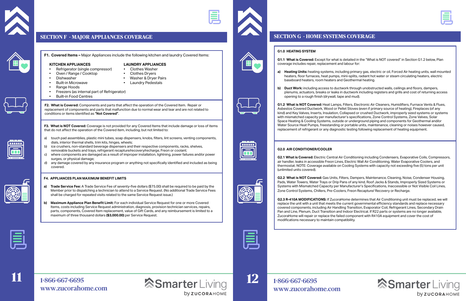**11**

<span id="page-6-0"></span>

### **SECTION F - MAJOR APPLIANCES COVERAGE**



**F1. Covered Items –** Major Appliances include the following kitchen and laundry Covered Items:

• Dishwasher • Washer & Dryer Pairs **Laundry Pedestals** 

- **KITCHEN APPLIANCES**<br>• Refrigerator (single compressor) Clothes Washer • Refrigerator (single compressor) • Clothes Washer
- Oven / Range / Cooktop<br>Dishwasher
- 
- 
- Range Hoods
- Freezers (as internal part of Refrigerator)
- Built-in Food Centres

**F2. What is Covered:** Components and parts that affect the operation of the Covered Item. Repair or replacement of components and parts that malfunction due to normal wear and tear and are not related to conditions or items identified as **"Not Covered"**.

### **F4. APPLIANCES PLAN MAXIMUM BENEFIT LIMITS**

- **a) Trade Service Fee:** A Trade Service Fee of seventy-five dollars (\$75.00) shall be required to be paid by the Member prior to dispatching a technician to attend to a Service Request. (No additional Trade Service Fees shall be charged for repeated visits related to the same Service Request issue.)
- **b) Maximum Appliance Plan Benefit Limit:** For each individual Service Request for one or more Covered Items, costs including Service Request administration, diagnosis, provision technician services, repairs, parts, components, Covered Item replacement, value of Gift Cards, and any reimbursement is limited to a maximum of three thousand dollars **(\$3,000.00)** per Service Request.











**F3. What is NOT Covered:** Coverage is not provided for any Covered Items that include damage or loss of items that do not affect the operation of the Covered item, including, but not limited to:

- a) touch pad assemblies, plastic mini tubes, soap dispensers, knobs, filters, lint screens, venting components, dials, interior thermal shells, trim kits, hinges, wheels;
- b) ice crushers, non-standard beverage dispensers and their respective components, racks, shelves, removable buckets and trays, refrigerant recapture/recovery/recharge, Freon or coolant;
- c) where components are damaged as a result of improper installation, lightning, power failures and/or power surges, or physical damage;
- d) any damage covered by any insurance program or anything not specifically identified and included as being covered.

## 1-866-667-6695 [www.zucorahome.com](http://www.zucorahome.com)

**SmarterLiving** 



### **G1.0 HEATING SYSTEM**

**G1.1 What is Covered:** Except for what is detailed in the "What is NOT covered" in Section G1.2 below, Plan coverage includes repair, replacement and labour for:

**a) Heating Units:** heating systems, including primary gas, electric or oil, Forced Air heating units, wall mounted heaters, floor furnaces, heat pumps, mini-splits, radiant hot water or steam circulating heaters, electric

- baseboard heaters, room heaters and Geothermal heating.
- opening to a rough finish (drywall, tape and mud).

**b) Duct Work:** including access to ductwork through unobstructed walls, ceilings and floors, dampers, plenums, actuators, breaks or leaks in ductwork including registers and grills and cost of returning access

## **Smarter** Living **by ZUCORAHOME**

**G1.2 What is NOT Covered:** Heat Lamps, Filters, Electronic Air Cleaners, Humidifiers, Furnace Vents & Flues, Asbestos Covered Ductwork, Wood or Pellet Stoves (even if primary source of heating), Fireplaces (of any kind) and Key Valves, Inserts, Insulation, Collapsed or crushed Ductwork, improperly sized systems or systems with mismatched capacity per manufacturer's specifications, Zone Control Systems, Zone Valves, Solar Space Heating & Cooling Systems, outside or underground piping and components for Geothermal and/or Water Source Heat Pumps, freestanding or portable units, maintenance, cleaning or noises however caused, replacement of refrigerant or any diagnostic testing following replacement of heating equipment.



**G2.0 AIR CONDITIONER/COOLER**

**G2.1 What is Covered:** Electric Central Air Conditioning including Condensers, Evaporative Coils, Compressors, air handler, leaks in accessible Freon Lines, Electric Wall Air Conditioning, Water Evaporative Coolers, and thermostat. NOTE: Coverage available on Cooling Systems with capacity not exceeding five (5) tons per unit (unlimited units covered).

**G2.2 What is NOT Covered:** Gas Units, Filters, Dampers, Maintenance, Cleaning, Noise, Condenser Housing, Pads, Water Towers, Water Trays or Drip Pans of any kind, Roof Jacks & Stands, Improperly Sized Systems or Systems with Mismatched Capacity per Manufacturer's Specifications, Inaccessible or Not Visible Coil Lines, Zone Control Systems, Chillers, Pre-Coolers, Freon Recapture/ Recovery or Recharge.

**G2.3 R-410A MODIFICATIONS:** If ZucoraHome determines that Air Conditioning unit must be replaced, we will replace the unit with a unit that meets the current governmental efficiency standards and replace necessary covered components, including Air Handling Transition, Evaporator Coil, Refrigerant Lines, Secondary Drain Pan and Line, Plenum, Duct Transition and Indoor Electrical. If R22 parts or systems are no longer available, ZucoraHome will repair or replace the failed component with R410A equipment and cover the cost of modifications necessary to maintain compatibility.



**12**

**by ZUCORAHOME** 

## **SECTION G - HOME SYSTEMS COVERAGE**



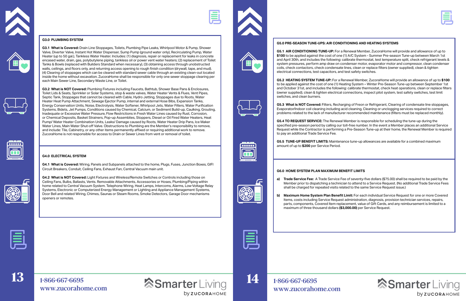













**G3.1 What is Covered:** Drain Line Stoppages, Toilets, Plumbing Pipe Leaks, Whirlpool Motor & Pump, Shower Valve, Diverter Valve, Instant Hot Water Dispenser, Sump Pump (ground water only), Recirculating Pump, Water Heater (up to 50 gal.), Tankless Water Heater. Includes: (1) diagnosis, repair or replacement for leaks in concrete encased water, drain, gas, polybutylene piping, tankless oil or power vent water heaters; (2) replacement of Toilet Tanks & Bowls (replaced with Builders Standard when necessary), (3) obtaining access through unobstructed walls, ceilings, and floors only, and returning access opening to rough finish condition (drywall, tape, and mud). (4) Clearing of stoppages which can be cleared with standard sewer cable through an existing clean-out located inside the home without excavation. ZucoraHome shall be responsible for only one sewer stoppage clearing per each Main Sewer Line, Secondary Waste Line, or Toilet.

**G3.2 What is NOT Covered:** Plumbing Fixtures including Faucets, Bathtub, Shower Base Pans & Enclosures, Toilet Lids & Seats, Sprinkler or Solar Systems, stop & waste valves, Water Heater Vents & Flues, Vent Pipes, Septic Tank, Stoppages that cannot be cleared with Cable, Hydro Jetting, Stoppages due to Roots, Water Heater Heat Pump Attachment, Sewage Ejector Pump, internal and external Hose Bibs, Expansion Tanks, Energy Conservation Units, Noise, Electrolysis, Water Softener, Whirlpool Jets, Water Filters, Water Purification Systems, Bidets, Jet Pumps, Conditions caused by Chemical, Calcium, or Sediment Build-up, Caulking, Grouting, Inadequate or Excessive Water Pressure, Flow Restrictions in Fresh Water Lines caused by Rust, Corrosion, or Chemical Deposits, Basket Strainers, Pop-up Assemblies, Stoppers, Diesel or Oil Fired Water Heaters, Heat Pump/ Water Heater Combination Units, Leaks/ Damage caused by Roots, Water Heater Drip Pans, Ice Maker Water Lines, Main Water Shut-off Valve. Obstructions to Plumbing are the Member's responsibility to remove, and include: Tile, Cabinetry, or any other items permanently affixed or requiring additional work to remove. ZucoraHome is not responsible for access to Drain or Sewer Lines from vent or removal of toilet.

### **G4.0 ELECTRICAL SYSTEM**

**G4.1 What is Covered:** Wiring, Panels and Subpanels attached to the home, Plugs, Fuses, Junction Boxes, GIFI Circuit Breakers, Conduit, Ceiling Fans, Exhaust Fan, Central Vacuum main unit.

**G4.2 What is NOT Covered:** Light Fixtures and Wireless/Remote Switches or Controls including those on Ceiling Fans, Bulbs, Ballasts, Vents. Removable Attachments, Accessories or Hoses, Plumbing/Piping within home related to Central Vacuum System. Telephone Wiring, Heat Lamps, Intercoms, Alarms, Low-Voltage Relay Systems, Electronic or Computerized Energy Management or Lighting and Appliance Management Systems, Door Bell and related Wiring, Chimes, Saunas or Steam Rooms, Smoke Detectors, Garage Door mechanisms openers or remotes.







1-866-667-6695 [www.zucorahome.com](http://www.zucorahome.com)

**SmarterLiving by ZUCORAHOME** 





**G5.1 AIR CONDITIONING TUNE-UP:** For a Renewal Member, ZucoraHome will provide and allowance of up to **\$100** to be applied against the cost of one (1) A/C System - Summer Pre-season Tune-up between March 1st and April 30th, and includes the following: calibrate thermostat, test temperature split, check refrigerant levels & system pressures, perform amp draw on condenser motor, evaporator motor and compressor, clean condenser coils, check contactors, check condensate lines, clean or replace filters (owner supplied), clean & tighten electrical connections, test capacitors, and test safety switches.

**G5.2 HEATING SYSTEM TUNE-UP:** For a Renewal Member, ZucoraHome will provide an allowance of up to **\$100** to be applied against the cost of one (1) Heating System – Winter Pre-Season Tune-up between September 1st and October 31st, and includes the following: calibrate thermostat, check heat operations, clean or replace filters (owner supplied), clean & tighten electrical connections, inspect pilot system, test safety switches, test limit switches, and clean burners.

**G5.3 What is NOT Covered:** Filters, Recharging of Freon or Refrigerant, Clearing of condensate line stoppages, Evaporator/Indoor coil cleaning including acid cleaning, Cleaning or unclogging services required to correct problems related to the lack of manufacturer recommended maintenance (filters must be replaced monthly).

**G5.4 TO REQUEST SERVICE:** The Renewal Member is responsible for scheduling the tune-up during the specified pre-season period by calling our toll-free number. In the event a Member places an additional Service Request while the Contractor is performing a Pre-Season Tune-up at their home, the Renewal Member is required to pay an additional Trade Service Fee.



**G5.5 TUNE-UP BENEFIT LIMITS:** Maintenance tune-up allowances are available for a combined maximum amount of up to **\$200** per Service Period.

**14**

### **G6.0 HOME SYSTEM PLAN MAXIMUM BENEFIT LIMITS**

**a) Trade Service Fee:** A Trade Service Fee of seventy-five dollars (\$75.00) shall be required to be paid by the Member prior to dispatching a technician to attend to a Service Request. (No additional Trade Service Fees shall be charged for repeated visits related to the same Service Request issue.)

**b) Maximum Home System Plan Benefit Limit:** For each individual Service Request for one or more Covered Items, costs including Service Request administration, diagnosis, provision technician services, repairs, parts, components, Covered Item replacement, value of Gift Cards, and any reimbursement is limited to a



- 
- maximum of three thousand dollars **(\$3,000.00)** per Service Request.